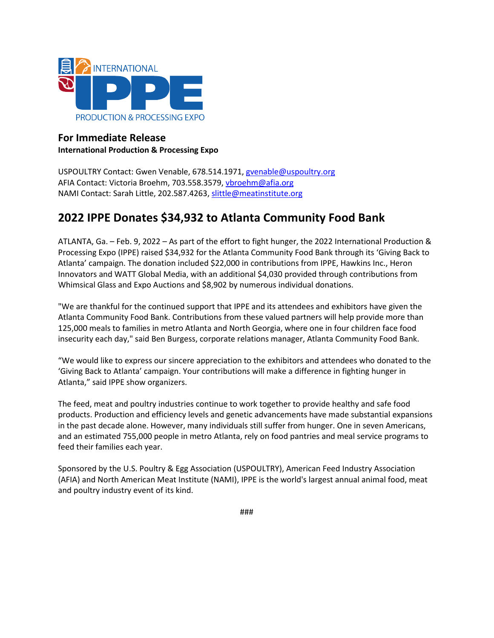

## **For Immediate Release International Production & Processing Expo**

USPOULTRY Contact: Gwen Venable, 678.514.1971, [gvenable@uspoultry.org](mailto:gvenable@uspoultry.org)  AFIA Contact: Victoria Broehm, 703.558.3579[, vbroehm@afia.org](mailto:vbroehm@afia.org) NAMI Contact: Sarah Little, 202.587.4263, [slittle@meatinstitute.org](mailto:slittle@meatinstitute.org)

# **2022 IPPE Donates \$34,932 to Atlanta Community Food Bank**

ATLANTA, Ga. – Feb. 9, 2022 – As part of the effort to fight hunger, the 2022 International Production & Processing Expo (IPPE) raised \$34,932 for the Atlanta Community Food Bank through its 'Giving Back to Atlanta' campaign. The donation included \$22,000 in contributions from IPPE, Hawkins Inc., Heron Innovators and WATT Global Media, with an additional \$4,030 provided through contributions from Whimsical Glass and Expo Auctions and \$8,902 by numerous individual donations.

"We are thankful for the continued support that IPPE and its attendees and exhibitors have given the Atlanta Community Food Bank. Contributions from these valued partners will help provide more than 125,000 meals to families in metro Atlanta and North Georgia, where one in four children face food insecurity each day," said Ben Burgess, corporate relations manager, Atlanta Community Food Bank.

"We would like to express our sincere appreciation to the exhibitors and attendees who donated to the 'Giving Back to Atlanta' campaign. Your contributions will make a difference in fighting hunger in Atlanta," said IPPE show organizers.

The feed, meat and poultry industries continue to work together to provide healthy and safe food products. Production and efficiency levels and genetic advancements have made substantial expansions in the past decade alone. However, many individuals still suffer from hunger. One in seven Americans, and an estimated 755,000 people in metro Atlanta, rely on food pantries and meal service programs to feed their families each year.

Sponsored by the U.S. Poultry & Egg Association (USPOULTRY), American Feed Industry Association (AFIA) and North American Meat Institute (NAMI), IPPE is the world's largest annual animal food, meat and poultry industry event of its kind.

###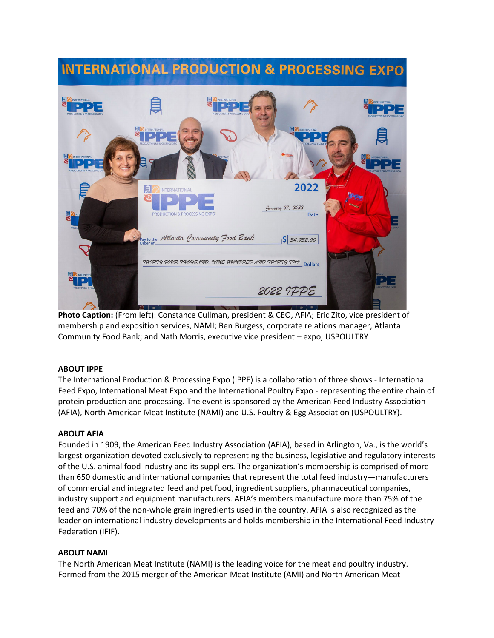

**Photo Caption:** (From left): Constance Cullman, president & CEO, AFIA; Eric Zito, vice president of membership and exposition services, NAMI; Ben Burgess, corporate relations manager, Atlanta Community Food Bank; and Nath Morris, executive vice president – expo, USPOULTRY

### **ABOUT IPPE**

The International Production & Processing Expo (IPPE) is a collaboration of three shows - International Feed Expo, International Meat Expo and the International Poultry Expo - representing the entire chain of protein production and processing. The event is sponsored by the American Feed Industry Association (AFIA), North American Meat Institute (NAMI) and U.S. Poultry & Egg Association (USPOULTRY).

### **ABOUT AFIA**

Founded in 1909, the American Feed Industry Association (AFIA), based in Arlington, Va., is the world's largest organization devoted exclusively to representing the business, legislative and regulatory interests of the U.S. animal food industry and its suppliers. The organization's membership is comprised of more than 650 domestic and international companies that represent the total feed industry—manufacturers of commercial and integrated feed and pet food, ingredient suppliers, pharmaceutical companies, industry support and equipment manufacturers. AFIA's members manufacture more than 75% of the feed and 70% of the non-whole grain ingredients used in the country. AFIA is also recognized as the leader on international industry developments and holds membership in the International Feed Industry Federation (IFIF).

### **ABOUT NAMI**

The North American Meat Institute (NAMI) is the leading voice for the meat and poultry industry. Formed from the 2015 merger of the American Meat Institute (AMI) and North American Meat